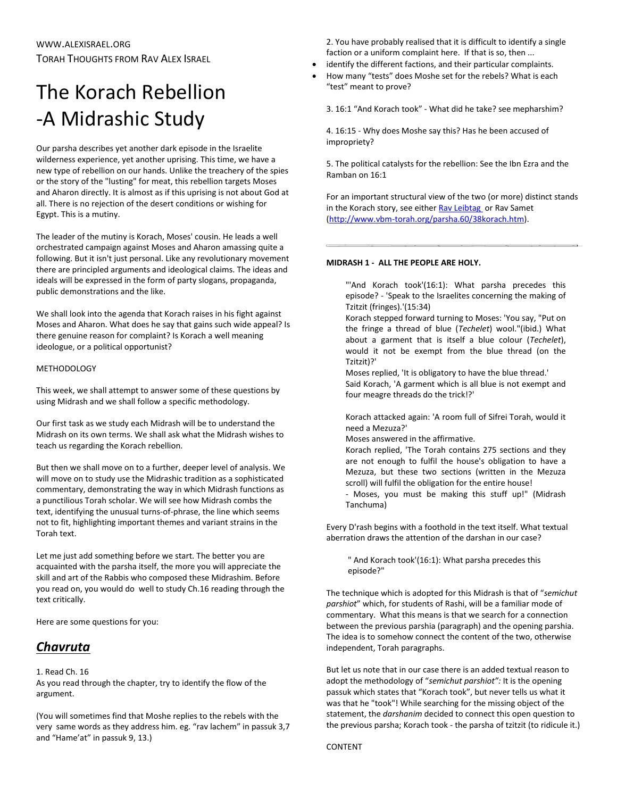# The Korach Rebellion -A Midrashic Study

Our parsha describes yet another dark episode in the Israelite wilderness experience, yet another uprising. This time, we have a new type of rebellion on our hands. Unlike the treachery of the spies or the story of the "lusting" for meat, this rebellion targets Moses and Aharon directly. It is almost as if this uprising is not about God at all. There is no rejection of the desert conditions or wishing for Egypt. This is a mutiny.

The leader of the mutiny is Korach, Moses' cousin. He leads a well orchestrated campaign against Moses and Aharon amassing quite a following. But it isn't just personal. Like any revolutionary movement there are principled arguments and ideological claims. The ideas and ideals will be expressed in the form of party slogans, propaganda, public demonstrations and the like.

We shall look into the agenda that Korach raises in his fight against Moses and Aharon. What does he say that gains such wide appeal? Is there genuine reason for complaint? Is Korach a well meaning ideologue, or a political opportunist?

## METHODOLOGY

This week, we shall attempt to answer some of these questions by using Midrash and we shall follow a specific methodology.

Our first task as we study each Midrash will be to understand the Midrash on its own terms. We shall ask what the Midrash wishes to teach us regarding the Korach rebellion.

But then we shall move on to a further, deeper level of analysis. We will move on to study use the Midrashic tradition as a sophisticated commentary, demonstrating the way in which Midrash functions as a punctilious Torah scholar. We will see how Midrash combs the text, identifying the unusual turns-of-phrase, the line which seems not to fit, highlighting important themes and variant strains in the Torah text.

Let me just add something before we start. The better you are acquainted with the parsha itself, the more you will appreciate the skill and art of the Rabbis who composed these Midrashim. Before you read on, you would do well to study Ch.16 reading through the text critically.

Here are some questions for you:

# *Chavruta*

# 1. Read Ch. 16

As you read through the chapter, try to identify the flow of the argument.

(You will sometimes find that Moshe replies to the rebels with the very same words as they address him. eg. "rav lachem" in passuk 3,7 and "Hame'at" in passuk 9, 13.)

2. You have probably realised that it is difficult to identify a single faction or a uniform complaint here. If that is so, then ...

- identify the different factions, and their particular complaints.
- How many "tests" does Moshe set for the rebels? What is each "test" meant to prove?

3. 16:1 "And Korach took" - What did he take? see mepharshim?

4. 16:15 - Why does Moshe say this? Has he been accused of impropriety?

5. The political catalysts for the rebellion: See the Ibn Ezra and the Ramban on 16:1

For an important structural view of the two (or more) distinct stands in the Korach story, see eithe[r Rav Leibtag](http://www.tanach.org/bamidbar/korach.txt) or Rav Samet [\(http://www.vbm-torah.org/parsha.60/38korach.htm\)](http://www.vbm-torah.org/parsha.60/38korach.htm).

### **MIDRASH 1 - ALL THE PEOPLE ARE HOLY.**

"'And Korach took'(16:1): What parsha precedes this episode? - 'Speak to the Israelites concerning the making of Tzitzit (fringes).'(15:34)

Korach stepped forward turning to Moses: 'You say, "Put on the fringe a thread of blue (*Techelet*) wool."(ibid.) What about a garment that is itself a blue colour (*Techelet*), would it not be exempt from the blue thread (on the Tzitzit)?'

Moses replied, 'It is obligatory to have the blue thread.' Said Korach, 'A garment which is all blue is not exempt and four meagre threads do the trick!?'

Korach attacked again: 'A room full of Sifrei Torah, would it need a Mezuza?'

Moses answered in the affirmative.

Korach replied, 'The Torah contains 275 sections and they are not enough to fulfil the house's obligation to have a Mezuza, but these two sections (written in the Mezuza scroll) will fulfil the obligation for the entire house! - Moses, you must be making this stuff up!" (Midrash

Tanchuma)

Every D'rash begins with a foothold in the text itself. What textual aberration draws the attention of the darshan in our case?

" And Korach took'(16:1): What parsha precedes this episode?"

The technique which is adopted for this Midrash is that of "*semichut parshiot*" which, for students of Rashi, will be a familiar mode of commentary. What this means is that we search for a connection between the previous parshia (paragraph) and the opening parshia. The idea is to somehow connect the content of the two, otherwise independent, Torah paragraphs.

But let us note that in our case there is an added textual reason to adopt the methodology of "*semichut parshiot":* It is the opening passuk which states that "Korach took", but never tells us what it was that he "took"! While searching for the missing object of the statement, the *darshanim* decided to connect this open question to the previous parsha; Korach took - the parsha of tzitzit (to ridicule it.)

#### CONTENT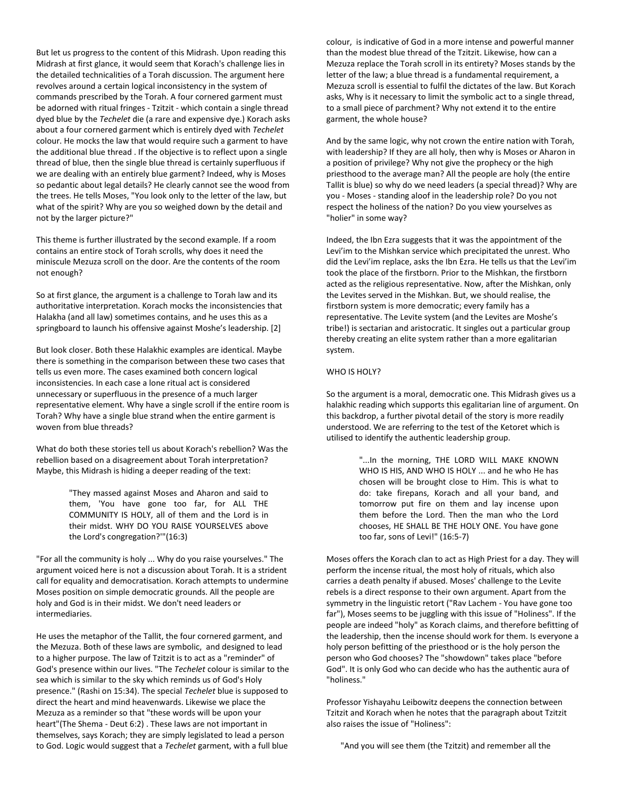But let us progress to the content of this Midrash. Upon reading this Midrash at first glance, it would seem that Korach's challenge lies in the detailed technicalities of a Torah discussion. The argument here revolves around a certain logical inconsistency in the system of commands prescribed by the Torah. A four cornered garment must be adorned with ritual fringes - Tzitzit - which contain a single thread dyed blue by the *Techelet* die (a rare and expensive dye.) Korach asks about a four cornered garment which is entirely dyed with *Techelet* colour. He mocks the law that would require such a garment to have the additional blue thread . If the objective is to reflect upon a single thread of blue, then the single blue thread is certainly superfluous if we are dealing with an entirely blue garment? Indeed, why is Moses so pedantic about legal details? He clearly cannot see the wood from the trees. He tells Moses, "You look only to the letter of the law, but what of the spirit? Why are you so weighed down by the detail and not by the larger picture?"

This theme is further illustrated by the second example. If a room contains an entire stock of Torah scrolls, why does it need the miniscule Mezuza scroll on the door. Are the contents of the room not enough?

So at first glance, the argument is a challenge to Torah law and its authoritative interpretation. Korach mocks the inconsistencies that Halakha (and all law) sometimes contains, and he uses this as a springboard to launch his offensive against Moshe's leadership. [2]

But look closer. Both these Halakhic examples are identical. Maybe there is something in the comparison between these two cases that tells us even more. The cases examined both concern logical inconsistencies. In each case a lone ritual act is considered unnecessary or superfluous in the presence of a much larger representative element. Why have a single scroll if the entire room is Torah? Why have a single blue strand when the entire garment is woven from blue threads?

What do both these stories tell us about Korach's rebellion? Was the rebellion based on a disagreement about Torah interpretation? Maybe, this Midrash is hiding a deeper reading of the text:

> "They massed against Moses and Aharon and said to them, 'You have gone too far, for ALL THE COMMUNITY IS HOLY, all of them and the Lord is in their midst. WHY DO YOU RAISE YOURSELVES above the Lord's congregation?'"(16:3)

"For all the community is holy ... Why do you raise yourselves." The argument voiced here is not a discussion about Torah. It is a strident call for equality and democratisation. Korach attempts to undermine Moses position on simple democratic grounds. All the people are holy and God is in their midst. We don't need leaders or intermediaries.

He uses the metaphor of the Tallit, the four cornered garment, and the Mezuza. Both of these laws are symbolic, and designed to lead to a higher purpose. The law of Tzitzit is to act as a "reminder" of God's presence within our lives. "The *Techelet* colour is similar to the sea which is similar to the sky which reminds us of God's Holy presence." (Rashi on 15:34). The special *Techelet* blue is supposed to direct the heart and mind heavenwards. Likewise we place the Mezuza as a reminder so that "these words will be upon your heart"(The Shema - Deut 6:2) . These laws are not important in themselves, says Korach; they are simply legislated to lead a person to God. Logic would suggest that a *Techelet* garment, with a full blue

colour, is indicative of God in a more intense and powerful manner than the modest blue thread of the Tzitzit. Likewise, how can a Mezuza replace the Torah scroll in its entirety? Moses stands by the letter of the law; a blue thread is a fundamental requirement, a Mezuza scroll is essential to fulfil the dictates of the law. But Korach asks, Why is it necessary to limit the symbolic act to a single thread, to a small piece of parchment? Why not extend it to the entire garment, the whole house?

And by the same logic, why not crown the entire nation with Torah, with leadership? If they are all holy, then why is Moses or Aharon in a position of privilege? Why not give the prophecy or the high priesthood to the average man? All the people are holy (the entire Tallit is blue) so why do we need leaders (a special thread)? Why are you - Moses - standing aloof in the leadership role? Do you not respect the holiness of the nation? Do you view yourselves as "holier" in some way?

Indeed, the Ibn Ezra suggests that it was the appointment of the Levi'im to the Mishkan service which precipitated the unrest. Who did the Levi'im replace, asks the Ibn Ezra. He tells us that the Levi'im took the place of the firstborn. Prior to the Mishkan, the firstborn acted as the religious representative. Now, after the Mishkan, only the Levites served in the Mishkan. But, we should realise, the firstborn system is more democratic; every family has a representative. The Levite system (and the Levites are Moshe's tribe!) is sectarian and aristocratic. It singles out a particular group thereby creating an elite system rather than a more egalitarian system.

#### WHO IS HOLY?

So the argument is a moral, democratic one. This Midrash gives us a halakhic reading which supports this egalitarian line of argument. On this backdrop, a further pivotal detail of the story is more readily understood. We are referring to the test of the Ketoret which is utilised to identify the authentic leadership group.

> "...In the morning, THE LORD WILL MAKE KNOWN WHO IS HIS, AND WHO IS HOLY ... and he who He has chosen will be brought close to Him. This is what to do: take firepans, Korach and all your band, and tomorrow put fire on them and lay incense upon them before the Lord. Then the man who the Lord chooses, HE SHALL BE THE HOLY ONE. You have gone too far, sons of Levi!" (16:5-7)

Moses offers the Korach clan to act as High Priest for a day. They will perform the incense ritual, the most holy of rituals, which also carries a death penalty if abused. Moses' challenge to the Levite rebels is a direct response to their own argument. Apart from the symmetry in the linguistic retort ("Rav Lachem - You have gone too far"), Moses seems to be juggling with this issue of "Holiness". If the people are indeed "holy" as Korach claims, and therefore befitting of the leadership, then the incense should work for them. Is everyone a holy person befitting of the priesthood or is the holy person the person who God chooses? The "showdown" takes place "before God". It is only God who can decide who has the authentic aura of "holiness."

Professor Yishayahu Leibowitz deepens the connection between Tzitzit and Korach when he notes that the paragraph about Tzitzit also raises the issue of "Holiness":

"And you will see them (the Tzitzit) and remember all the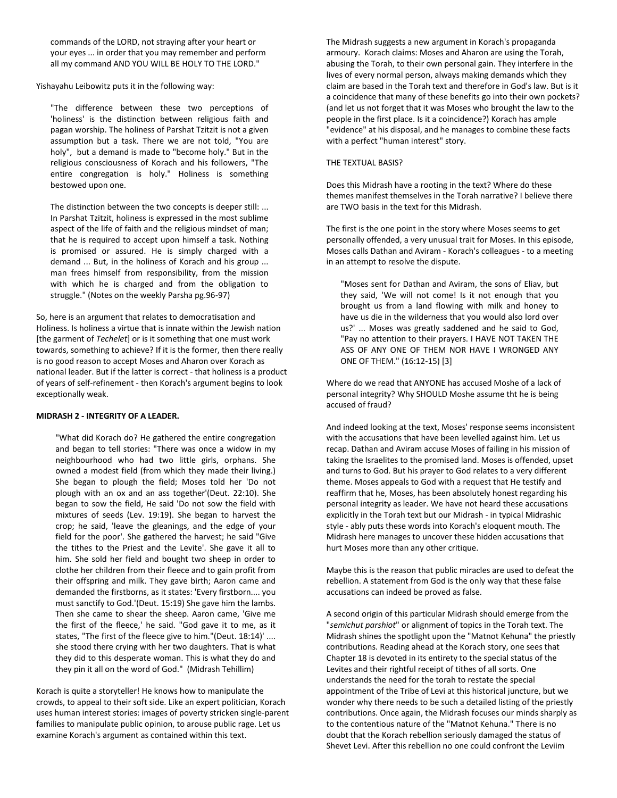commands of the LORD, not straying after your heart or your eyes ... in order that you may remember and perform all my command AND YOU WILL BE HOLY TO THE LORD."

Yishayahu Leibowitz puts it in the following way:

"The difference between these two perceptions of 'holiness' is the distinction between religious faith and pagan worship. The holiness of Parshat Tzitzit is not a given assumption but a task. There we are not told, "You are holy", but a demand is made to "become holy." But in the religious consciousness of Korach and his followers, "The entire congregation is holy." Holiness is something bestowed upon one.

The distinction between the two concepts is deeper still: ... In Parshat Tzitzit, holiness is expressed in the most sublime aspect of the life of faith and the religious mindset of man; that he is required to accept upon himself a task. Nothing is promised or assured. He is simply charged with a demand ... But, in the holiness of Korach and his group ... man frees himself from responsibility, from the mission with which he is charged and from the obligation to struggle." (Notes on the weekly Parsha pg.96-97)

So, here is an argument that relates to democratisation and Holiness. Is holiness a virtue that is innate within the Jewish nation [the garment of *Techelet*] or is it something that one must work towards, something to achieve? If it is the former, then there really is no good reason to accept Moses and Aharon over Korach as national leader. But if the latter is correct - that holiness is a product of years of self-refinement - then Korach's argument begins to look exceptionally weak.

#### **MIDRASH 2 - INTEGRITY OF A LEADER.**

"What did Korach do? He gathered the entire congregation and began to tell stories: "There was once a widow in my neighbourhood who had two little girls, orphans. She owned a modest field (from which they made their living.) She began to plough the field; Moses told her 'Do not plough with an ox and an ass together'(Deut. 22:10). She began to sow the field, He said 'Do not sow the field with mixtures of seeds (Lev. 19:19). She began to harvest the crop; he said, 'leave the gleanings, and the edge of your field for the poor'. She gathered the harvest; he said "Give the tithes to the Priest and the Levite'. She gave it all to him. She sold her field and bought two sheep in order to clothe her children from their fleece and to gain profit from their offspring and milk. They gave birth; Aaron came and demanded the firstborns, as it states: 'Every firstborn.... you must sanctify to God.'(Deut. 15:19) She gave him the lambs. Then she came to shear the sheep. Aaron came, 'Give me the first of the fleece,' he said. "God gave it to me, as it states, "The first of the fleece give to him."(Deut. 18:14)' .... she stood there crying with her two daughters. That is what they did to this desperate woman. This is what they do and they pin it all on the word of God." (Midrash Tehillim)

Korach is quite a storyteller! He knows how to manipulate the crowds, to appeal to their soft side. Like an expert politician, Korach uses human interest stories: images of poverty stricken single-parent families to manipulate public opinion, to arouse public rage. Let us examine Korach's argument as contained within this text.

The Midrash suggests a new argument in Korach's propaganda armoury. Korach claims: Moses and Aharon are using the Torah, abusing the Torah, to their own personal gain. They interfere in the lives of every normal person, always making demands which they claim are based in the Torah text and therefore in God's law. But is it a coincidence that many of these benefits go into their own pockets? (and let us not forget that it was Moses who brought the law to the people in the first place. Is it a coincidence?) Korach has ample "evidence" at his disposal, and he manages to combine these facts with a perfect "human interest" story.

#### THE TEXTUAL BASIS?

Does this Midrash have a rooting in the text? Where do these themes manifest themselves in the Torah narrative? I believe there are TWO basis in the text for this Midrash.

The first is the one point in the story where Moses seems to get personally offended, a very unusual trait for Moses. In this episode, Moses calls Dathan and Aviram - Korach's colleagues - to a meeting in an attempt to resolve the dispute.

"Moses sent for Dathan and Aviram, the sons of Eliav, but they said, 'We will not come! Is it not enough that you brought us from a land flowing with milk and honey to have us die in the wilderness that you would also lord over us?' ... Moses was greatly saddened and he said to God, "Pay no attention to their prayers. I HAVE NOT TAKEN THE ASS OF ANY ONE OF THEM NOR HAVE I WRONGED ANY ONE OF THEM." (16:12-15) [3]

Where do we read that ANYONE has accused Moshe of a lack of personal integrity? Why SHOULD Moshe assume tht he is being accused of fraud?

And indeed looking at the text, Moses' response seems inconsistent with the accusations that have been levelled against him. Let us recap. Dathan and Aviram accuse Moses of failing in his mission of taking the Israelites to the promised land. Moses is offended, upset and turns to God. But his prayer to God relates to a very different theme. Moses appeals to God with a request that He testify and reaffirm that he, Moses, has been absolutely honest regarding his personal integrity as leader. We have not heard these accusations explicitly in the Torah text but our Midrash - in typical Midrashic style - ably puts these words into Korach's eloquent mouth. The Midrash here manages to uncover these hidden accusations that hurt Moses more than any other critique.

Maybe this is the reason that public miracles are used to defeat the rebellion. A statement from God is the only way that these false accusations can indeed be proved as false.

A second origin of this particular Midrash should emerge from the "*semichut parshiot*" or alignment of topics in the Torah text. The Midrash shines the spotlight upon the "Matnot Kehuna" the priestly contributions. Reading ahead at the Korach story, one sees that Chapter 18 is devoted in its entirety to the special status of the Levites and their rightful receipt of tithes of all sorts. One understands the need for the torah to restate the special appointment of the Tribe of Levi at this historical juncture, but we wonder why there needs to be such a detailed listing of the priestly contributions. Once again, the Midrash focuses our minds sharply as to the contentious nature of the "Matnot Kehuna." There is no doubt that the Korach rebellion seriously damaged the status of Shevet Levi. After this rebellion no one could confront the Leviim